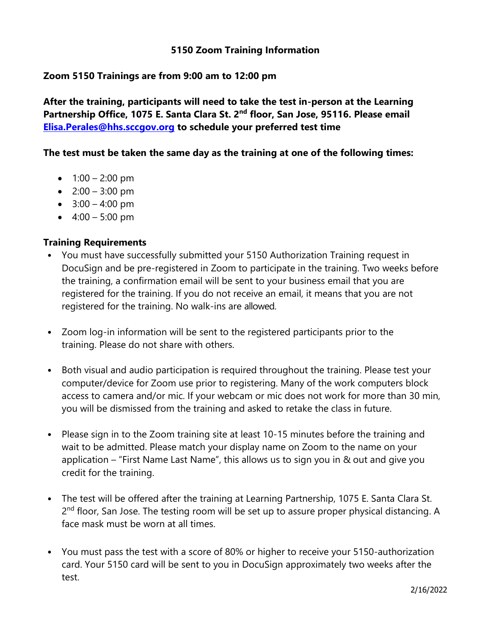## **5150 Zoom Training Information**

## **Zoom 5150 Trainings are from 9:00 am to 12:00 pm**

**After the training, participants will need to take the test in-person at the Learning Partnership Office, 1075 E. Santa Clara St. 2nd floor, San Jose, 95116. Please email [Elisa.Perales@hhs.sccgov.org](mailto:Elisa.Perales@hhs.sccgov.org) to schedule your preferred test time**

#### **The test must be taken the same day as the training at one of the following times:**

- $1:00 2:00 \text{ pm}$
- $2:00 3:00 \text{ pm}$
- $3:00 4:00 \text{ pm}$
- $4:00 5:00 \text{ pm}$

### **Training Requirements**

- You must have successfully submitted your 5150 Authorization Training request in DocuSign and be pre-registered in Zoom to participate in the training. Two weeks before the training, a confirmation email will be sent to your business email that you are registered for the training. If you do not receive an email, it means that you are not registered for the training. No walk-ins are allowed.
- Zoom log-in information will be sent to the registered participants prior to the training. Please do not share with others.
- Both visual and audio participation is required throughout the training. Please test your computer/device for Zoom use prior to registering. Many of the work computers block access to camera and/or mic. If your webcam or mic does not work for more than 30 min, you will be dismissed from the training and asked to retake the class in future.
- Please sign in to the Zoom training site at least 10-15 minutes before the training and wait to be admitted. Please match your display name on Zoom to the name on your application – "First Name Last Name", this allows us to sign you in & out and give you credit for the training.
- The test will be offered after the training at Learning Partnership, 1075 E. Santa Clara St. 2<sup>nd</sup> floor, San Jose. The testing room will be set up to assure proper physical distancing. A face mask must be worn at all times.
- You must pass the test with a score of 80% or higher to receive your 5150-authorization card. Your 5150 card will be sent to you in DocuSign approximately two weeks after the test.